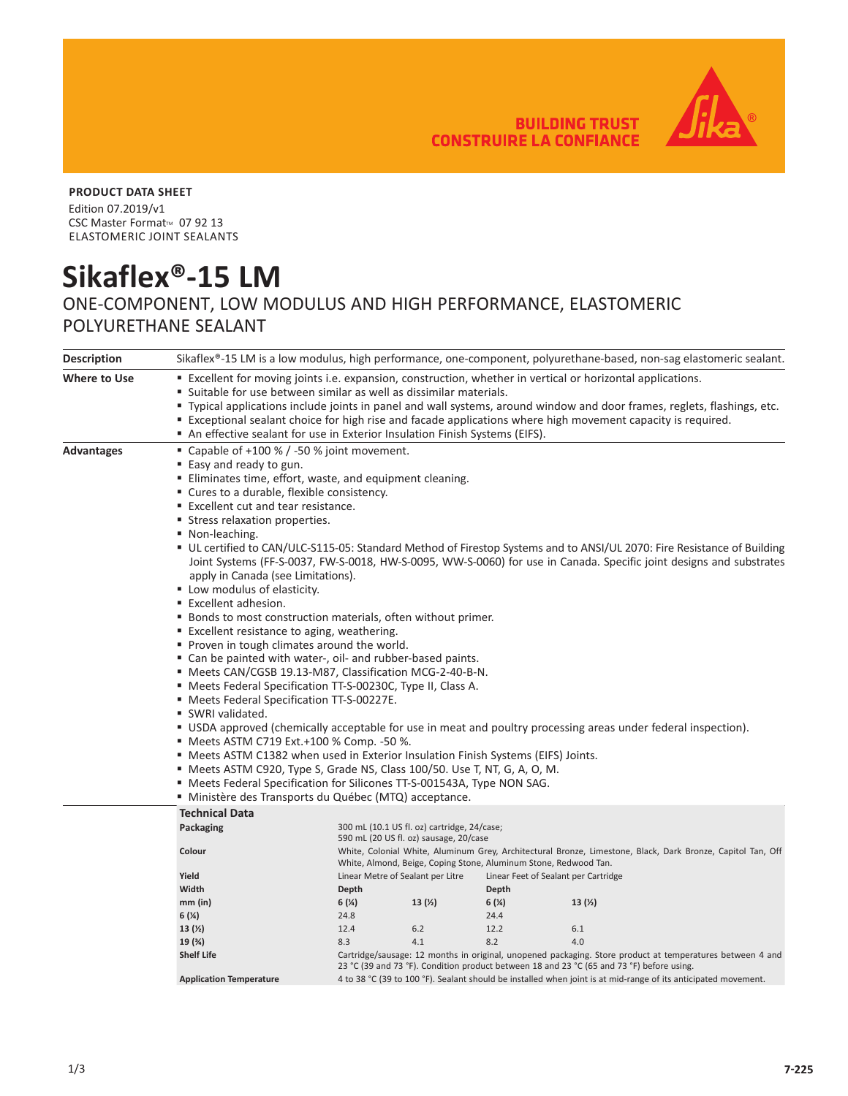**BUILDING TRUST CONSTRUIRE LA CONFIANCE** 



## **PRODUCT DATA SHEET**

Edition 07.2019/v1 CSC Master Format<sup>™</sup> 07 92 13 ELASTOMERIC JOINT SEALANTS

## **Sikaflex®-15 LM**

## ONE-COMPONENT, LOW MODULUS AND HIGH PERFORMANCE, ELASTOMERIC POLYURETHANE SEALANT

| <b>Description</b> |                                                                                                                                                                                                                                                                                                                             | Sikaflex®-15 LM is a low modulus, high performance, one-component, polyurethane-based, non-sag elastomeric sealant.                                                             |                                                                                                                                                                                                        |       |                                      |  |  |  |
|--------------------|-----------------------------------------------------------------------------------------------------------------------------------------------------------------------------------------------------------------------------------------------------------------------------------------------------------------------------|---------------------------------------------------------------------------------------------------------------------------------------------------------------------------------|--------------------------------------------------------------------------------------------------------------------------------------------------------------------------------------------------------|-------|--------------------------------------|--|--|--|
| Where to Use       | <b>Example 1</b> Excellent for moving joints i.e. expansion, construction, whether in vertical or horizontal applications.<br>" Suitable for use between similar as well as dissimilar materials.<br>Typical applications include joints in panel and wall systems, around window and door frames, reglets, flashings, etc. |                                                                                                                                                                                 |                                                                                                                                                                                                        |       |                                      |  |  |  |
|                    | " Exceptional sealant choice for high rise and facade applications where high movement capacity is required.<br>An effective sealant for use in Exterior Insulation Finish Systems (EIFS).                                                                                                                                  |                                                                                                                                                                                 |                                                                                                                                                                                                        |       |                                      |  |  |  |
| <b>Advantages</b>  | ■ Capable of $+100 %$ / -50 % joint movement.                                                                                                                                                                                                                                                                               |                                                                                                                                                                                 |                                                                                                                                                                                                        |       |                                      |  |  |  |
|                    | ■ Easy and ready to gun.                                                                                                                                                                                                                                                                                                    |                                                                                                                                                                                 |                                                                                                                                                                                                        |       |                                      |  |  |  |
|                    | Eliminates time, effort, waste, and equipment cleaning.                                                                                                                                                                                                                                                                     |                                                                                                                                                                                 |                                                                                                                                                                                                        |       |                                      |  |  |  |
|                    | " Cures to a durable, flexible consistency.                                                                                                                                                                                                                                                                                 |                                                                                                                                                                                 |                                                                                                                                                                                                        |       |                                      |  |  |  |
|                    | ■ Excellent cut and tear resistance.                                                                                                                                                                                                                                                                                        |                                                                                                                                                                                 |                                                                                                                                                                                                        |       |                                      |  |  |  |
|                    | <b>Stress relaxation properties.</b>                                                                                                                                                                                                                                                                                        |                                                                                                                                                                                 |                                                                                                                                                                                                        |       |                                      |  |  |  |
|                    | ■ Non-leaching.                                                                                                                                                                                                                                                                                                             |                                                                                                                                                                                 |                                                                                                                                                                                                        |       |                                      |  |  |  |
|                    | UL certified to CAN/ULC-S115-05: Standard Method of Firestop Systems and to ANSI/UL 2070: Fire Resistance of Building                                                                                                                                                                                                       |                                                                                                                                                                                 |                                                                                                                                                                                                        |       |                                      |  |  |  |
|                    | Joint Systems (FF-S-0037, FW-S-0018, HW-S-0095, WW-S-0060) for use in Canada. Specific joint designs and substrates                                                                                                                                                                                                         |                                                                                                                                                                                 |                                                                                                                                                                                                        |       |                                      |  |  |  |
|                    | apply in Canada (see Limitations).                                                                                                                                                                                                                                                                                          |                                                                                                                                                                                 |                                                                                                                                                                                                        |       |                                      |  |  |  |
|                    | " Low modulus of elasticity.                                                                                                                                                                                                                                                                                                |                                                                                                                                                                                 |                                                                                                                                                                                                        |       |                                      |  |  |  |
|                    | ■ Excellent adhesion.                                                                                                                                                                                                                                                                                                       |                                                                                                                                                                                 |                                                                                                                                                                                                        |       |                                      |  |  |  |
|                    | ■ Bonds to most construction materials, often without primer.                                                                                                                                                                                                                                                               |                                                                                                                                                                                 |                                                                                                                                                                                                        |       |                                      |  |  |  |
|                    | " Excellent resistance to aging, weathering.                                                                                                                                                                                                                                                                                |                                                                                                                                                                                 |                                                                                                                                                                                                        |       |                                      |  |  |  |
|                    | • Proven in tough climates around the world.                                                                                                                                                                                                                                                                                |                                                                                                                                                                                 |                                                                                                                                                                                                        |       |                                      |  |  |  |
|                    | " Can be painted with water-, oil- and rubber-based paints.                                                                                                                                                                                                                                                                 |                                                                                                                                                                                 |                                                                                                                                                                                                        |       |                                      |  |  |  |
|                    | Meets CAN/CGSB 19.13-M87, Classification MCG-2-40-B-N.                                                                                                                                                                                                                                                                      |                                                                                                                                                                                 |                                                                                                                                                                                                        |       |                                      |  |  |  |
|                    | ■ Meets Federal Specification TT-S-00230C, Type II, Class A.                                                                                                                                                                                                                                                                |                                                                                                                                                                                 |                                                                                                                                                                                                        |       |                                      |  |  |  |
|                    | " Meets Federal Specification TT-S-00227E.                                                                                                                                                                                                                                                                                  |                                                                                                                                                                                 |                                                                                                                                                                                                        |       |                                      |  |  |  |
|                    | SWRI validated.                                                                                                                                                                                                                                                                                                             |                                                                                                                                                                                 |                                                                                                                                                                                                        |       |                                      |  |  |  |
|                    | " USDA approved (chemically acceptable for use in meat and poultry processing areas under federal inspection).                                                                                                                                                                                                              |                                                                                                                                                                                 |                                                                                                                                                                                                        |       |                                      |  |  |  |
|                    | ■ Meets ASTM C719 Ext.+100 % Comp. -50 %.                                                                                                                                                                                                                                                                                   |                                                                                                                                                                                 |                                                                                                                                                                                                        |       |                                      |  |  |  |
|                    | " Meets ASTM C1382 when used in Exterior Insulation Finish Systems (EIFS) Joints.                                                                                                                                                                                                                                           |                                                                                                                                                                                 |                                                                                                                                                                                                        |       |                                      |  |  |  |
|                    | " Meets ASTM C920, Type S, Grade NS, Class 100/50. Use T, NT, G, A, O, M.                                                                                                                                                                                                                                                   |                                                                                                                                                                                 |                                                                                                                                                                                                        |       |                                      |  |  |  |
|                    | " Meets Federal Specification for Silicones TT-S-001543A, Type NON SAG.                                                                                                                                                                                                                                                     |                                                                                                                                                                                 |                                                                                                                                                                                                        |       |                                      |  |  |  |
|                    | Ministère des Transports du Québec (MTQ) acceptance.                                                                                                                                                                                                                                                                        |                                                                                                                                                                                 |                                                                                                                                                                                                        |       |                                      |  |  |  |
|                    | <b>Technical Data</b>                                                                                                                                                                                                                                                                                                       |                                                                                                                                                                                 |                                                                                                                                                                                                        |       |                                      |  |  |  |
|                    | Packaging                                                                                                                                                                                                                                                                                                                   |                                                                                                                                                                                 | 300 mL (10.1 US fl. oz) cartridge, 24/case;<br>590 mL (20 US fl. oz) sausage, 20/case                                                                                                                  |       |                                      |  |  |  |
|                    | Colour                                                                                                                                                                                                                                                                                                                      | White, Colonial White, Aluminum Grey, Architectural Bronze, Limestone, Black, Dark Bronze, Capitol Tan, Off<br>White, Almond, Beige, Coping Stone, Aluminum Stone, Redwood Tan. |                                                                                                                                                                                                        |       |                                      |  |  |  |
|                    | Yield                                                                                                                                                                                                                                                                                                                       |                                                                                                                                                                                 | Linear Metre of Sealant per Litre                                                                                                                                                                      |       | Linear Feet of Sealant per Cartridge |  |  |  |
|                    | Width                                                                                                                                                                                                                                                                                                                       | Depth                                                                                                                                                                           |                                                                                                                                                                                                        | Depth |                                      |  |  |  |
|                    | $mm$ (in)                                                                                                                                                                                                                                                                                                                   | 6(%)                                                                                                                                                                            | 13(2)                                                                                                                                                                                                  | 6(%)  | 13(2)                                |  |  |  |
|                    | 6(%)                                                                                                                                                                                                                                                                                                                        | 24.8                                                                                                                                                                            |                                                                                                                                                                                                        | 24.4  |                                      |  |  |  |
|                    | 13(2)                                                                                                                                                                                                                                                                                                                       | 12.4                                                                                                                                                                            | $6.2$                                                                                                                                                                                                  | 12.2  | 6.1                                  |  |  |  |
|                    | 19 (%)                                                                                                                                                                                                                                                                                                                      | 8.3                                                                                                                                                                             | 4.1                                                                                                                                                                                                    | 8.2   | 4.0                                  |  |  |  |
|                    | <b>Shelf Life</b>                                                                                                                                                                                                                                                                                                           |                                                                                                                                                                                 | Cartridge/sausage: 12 months in original, unopened packaging. Store product at temperatures between 4 and<br>23 °C (39 and 73 °F). Condition product between 18 and 23 °C (65 and 73 °F) before using. |       |                                      |  |  |  |
|                    | <b>Application Temperature</b>                                                                                                                                                                                                                                                                                              | 4 to 38 °C (39 to 100 °F). Sealant should be installed when joint is at mid-range of its anticipated movement.                                                                  |                                                                                                                                                                                                        |       |                                      |  |  |  |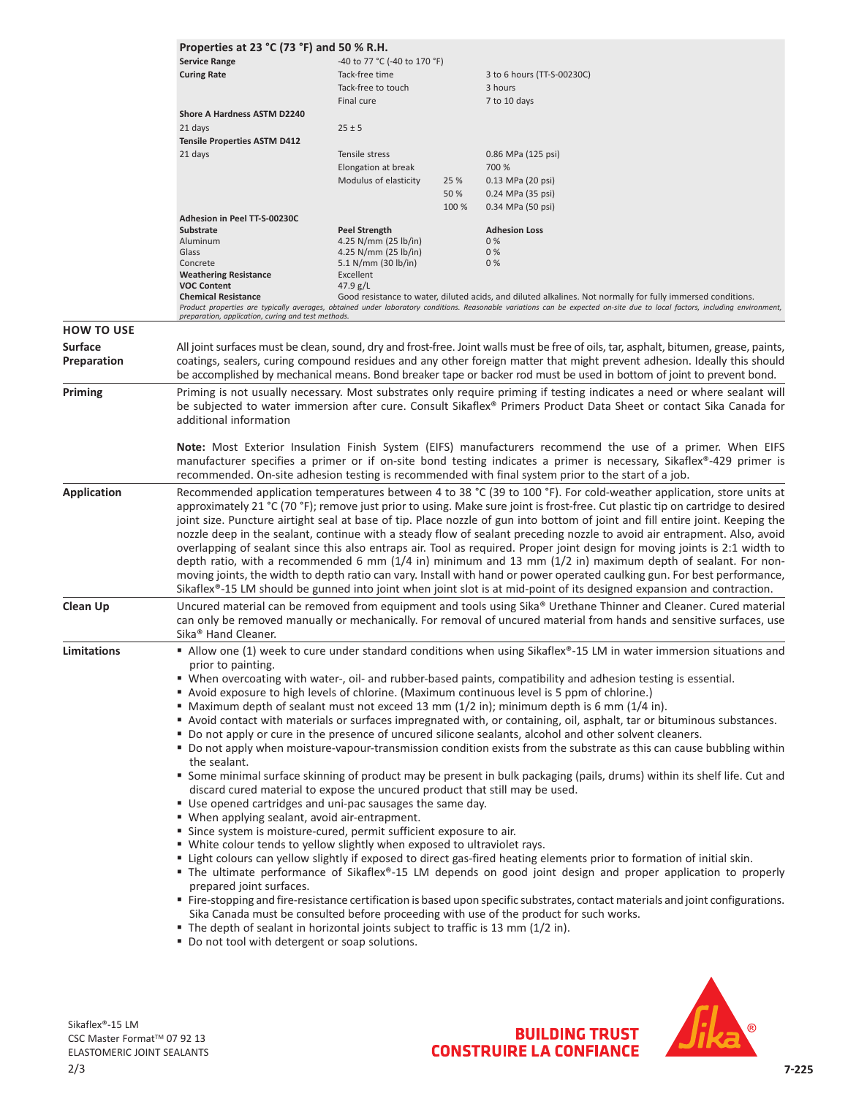|                    | Properties at 23 °C (73 °F) and 50 % R.H.                                                                                                     |                                              |       |                                                                                                                                                                             |  |  |  |
|--------------------|-----------------------------------------------------------------------------------------------------------------------------------------------|----------------------------------------------|-------|-----------------------------------------------------------------------------------------------------------------------------------------------------------------------------|--|--|--|
|                    | <b>Service Range</b>                                                                                                                          | -40 to 77 °C (-40 to 170 °F)                 |       |                                                                                                                                                                             |  |  |  |
|                    | <b>Curing Rate</b>                                                                                                                            | Tack-free time                               |       | 3 to 6 hours (TT-S-00230C)                                                                                                                                                  |  |  |  |
|                    |                                                                                                                                               | Tack-free to touch                           |       | 3 hours                                                                                                                                                                     |  |  |  |
|                    |                                                                                                                                               | Final cure                                   |       | 7 to 10 days                                                                                                                                                                |  |  |  |
|                    | <b>Shore A Hardness ASTM D2240</b>                                                                                                            |                                              |       |                                                                                                                                                                             |  |  |  |
|                    | 21 days                                                                                                                                       | $25 \pm 5$                                   |       |                                                                                                                                                                             |  |  |  |
|                    | <b>Tensile Properties ASTM D412</b>                                                                                                           |                                              |       |                                                                                                                                                                             |  |  |  |
|                    | 21 days                                                                                                                                       | Tensile stress                               |       | 0.86 MPa (125 psi)                                                                                                                                                          |  |  |  |
|                    |                                                                                                                                               | Elongation at break                          |       | 700 %                                                                                                                                                                       |  |  |  |
|                    |                                                                                                                                               | Modulus of elasticity                        | 25 %  | 0.13 MPa (20 psi)                                                                                                                                                           |  |  |  |
|                    |                                                                                                                                               |                                              | 50 %  | 0.24 MPa (35 psi)                                                                                                                                                           |  |  |  |
|                    |                                                                                                                                               |                                              | 100 % | 0.34 MPa (50 psi)                                                                                                                                                           |  |  |  |
|                    | Adhesion in Peel TT-S-00230C                                                                                                                  |                                              |       |                                                                                                                                                                             |  |  |  |
|                    | <b>Substrate</b>                                                                                                                              | <b>Peel Strength</b>                         |       | <b>Adhesion Loss</b>                                                                                                                                                        |  |  |  |
|                    | Aluminum<br>Glass                                                                                                                             | 4.25 N/mm (25 lb/in)<br>4.25 N/mm (25 lb/in) |       | 0%<br>0%                                                                                                                                                                    |  |  |  |
|                    | Concrete                                                                                                                                      | 5.1 N/mm (30 lb/in)                          |       | 0%                                                                                                                                                                          |  |  |  |
|                    | <b>Weathering Resistance</b>                                                                                                                  | Excellent                                    |       |                                                                                                                                                                             |  |  |  |
|                    | <b>VOC Content</b>                                                                                                                            | 47.9 $g/L$                                   |       |                                                                                                                                                                             |  |  |  |
|                    | <b>Chemical Resistance</b>                                                                                                                    |                                              |       | Good resistance to water, diluted acids, and diluted alkalines. Not normally for fully immersed conditions.                                                                 |  |  |  |
|                    | preparation, application, curing and test methods.                                                                                            |                                              |       | Product properties are typically averages, obtained under laboratory conditions. Reasonable variations can be expected on-site due to local factors, including environment, |  |  |  |
|                    |                                                                                                                                               |                                              |       |                                                                                                                                                                             |  |  |  |
| <b>HOW TO USE</b>  |                                                                                                                                               |                                              |       |                                                                                                                                                                             |  |  |  |
| Surface            |                                                                                                                                               |                                              |       | All joint surfaces must be clean, sound, dry and frost-free. Joint walls must be free of oils, tar, asphalt, bitumen, grease, paints,                                       |  |  |  |
| Preparation        |                                                                                                                                               |                                              |       | coatings, sealers, curing compound residues and any other foreign matter that might prevent adhesion. Ideally this should                                                   |  |  |  |
|                    |                                                                                                                                               |                                              |       | be accomplished by mechanical means. Bond breaker tape or backer rod must be used in bottom of joint to prevent bond.                                                       |  |  |  |
| Priming            |                                                                                                                                               |                                              |       | Priming is not usually necessary. Most substrates only require priming if testing indicates a need or where sealant will                                                    |  |  |  |
|                    |                                                                                                                                               |                                              |       |                                                                                                                                                                             |  |  |  |
|                    | be subjected to water immersion after cure. Consult Sikaflex® Primers Product Data Sheet or contact Sika Canada for<br>additional information |                                              |       |                                                                                                                                                                             |  |  |  |
|                    |                                                                                                                                               |                                              |       |                                                                                                                                                                             |  |  |  |
|                    |                                                                                                                                               |                                              |       |                                                                                                                                                                             |  |  |  |
|                    | Note: Most Exterior Insulation Finish System (EIFS) manufacturers recommend the use of a primer. When EIFS                                    |                                              |       |                                                                                                                                                                             |  |  |  |
|                    |                                                                                                                                               |                                              |       | manufacturer specifies a primer or if on-site bond testing indicates a primer is necessary, Sikaflex®-429 primer is                                                         |  |  |  |
|                    |                                                                                                                                               |                                              |       | recommended. On-site adhesion testing is recommended with final system prior to the start of a job.                                                                         |  |  |  |
| <b>Application</b> |                                                                                                                                               |                                              |       | Recommended application temperatures between 4 to 38 °C (39 to 100 °F). For cold-weather application, store units at                                                        |  |  |  |
|                    |                                                                                                                                               |                                              |       | approximately 21 °C (70 °F); remove just prior to using. Make sure joint is frost-free. Cut plastic tip on cartridge to desired                                             |  |  |  |
|                    | joint size. Puncture airtight seal at base of tip. Place nozzle of gun into bottom of joint and fill entire joint. Keeping the                |                                              |       |                                                                                                                                                                             |  |  |  |
|                    |                                                                                                                                               |                                              |       |                                                                                                                                                                             |  |  |  |
|                    | nozzle deep in the sealant, continue with a steady flow of sealant preceding nozzle to avoid air entrapment. Also, avoid                      |                                              |       |                                                                                                                                                                             |  |  |  |
|                    | overlapping of sealant since this also entraps air. Tool as required. Proper joint design for moving joints is 2:1 width to                   |                                              |       |                                                                                                                                                                             |  |  |  |
|                    | depth ratio, with a recommended 6 mm (1/4 in) minimum and 13 mm (1/2 in) maximum depth of sealant. For non-                                   |                                              |       |                                                                                                                                                                             |  |  |  |
|                    | moving joints, the width to depth ratio can vary. Install with hand or power operated caulking gun. For best performance,                     |                                              |       |                                                                                                                                                                             |  |  |  |
|                    |                                                                                                                                               |                                              |       |                                                                                                                                                                             |  |  |  |
| Clean Up           |                                                                                                                                               |                                              |       | Sikaflex <sup>®</sup> -15 LM should be gunned into joint when joint slot is at mid-point of its designed expansion and contraction.                                         |  |  |  |
|                    |                                                                                                                                               |                                              |       |                                                                                                                                                                             |  |  |  |
|                    |                                                                                                                                               |                                              |       | Uncured material can be removed from equipment and tools using Sika® Urethane Thinner and Cleaner. Cured material                                                           |  |  |  |
|                    |                                                                                                                                               |                                              |       | can only be removed manually or mechanically. For removal of uncured material from hands and sensitive surfaces, use                                                        |  |  |  |
|                    | Sika <sup>®</sup> Hand Cleaner.                                                                                                               |                                              |       |                                                                                                                                                                             |  |  |  |
| Limitations        |                                                                                                                                               |                                              |       | Allow one (1) week to cure under standard conditions when using Sikaflex®-15 LM in water immersion situations and                                                           |  |  |  |
|                    | prior to painting.                                                                                                                            |                                              |       |                                                                                                                                                                             |  |  |  |
|                    |                                                                                                                                               |                                              |       | " When overcoating with water-, oil- and rubber-based paints, compatibility and adhesion testing is essential.                                                              |  |  |  |
|                    |                                                                                                                                               |                                              |       | Avoid exposure to high levels of chlorine. (Maximum continuous level is 5 ppm of chlorine.)                                                                                 |  |  |  |
|                    |                                                                                                                                               |                                              |       | ■ Maximum depth of sealant must not exceed 13 mm (1/2 in); minimum depth is 6 mm (1/4 in).                                                                                  |  |  |  |
|                    |                                                                                                                                               |                                              |       | Avoid contact with materials or surfaces impregnated with, or containing, oil, asphalt, tar or bituminous substances.                                                       |  |  |  |
|                    |                                                                                                                                               |                                              |       | • Do not apply or cure in the presence of uncured silicone sealants, alcohol and other solvent cleaners.                                                                    |  |  |  |
|                    |                                                                                                                                               |                                              |       | " Do not apply when moisture-vapour-transmission condition exists from the substrate as this can cause bubbling within                                                      |  |  |  |
|                    | the sealant.                                                                                                                                  |                                              |       |                                                                                                                                                                             |  |  |  |
|                    |                                                                                                                                               |                                              |       |                                                                                                                                                                             |  |  |  |
|                    |                                                                                                                                               |                                              |       | " Some minimal surface skinning of product may be present in bulk packaging (pails, drums) within its shelf life. Cut and                                                   |  |  |  |
|                    | discard cured material to expose the uncured product that still may be used.                                                                  |                                              |       |                                                                                                                                                                             |  |  |  |
|                    | " Use opened cartridges and uni-pac sausages the same day.                                                                                    |                                              |       |                                                                                                                                                                             |  |  |  |
|                    | " When applying sealant, avoid air-entrapment.                                                                                                |                                              |       |                                                                                                                                                                             |  |  |  |
|                    | " Since system is moisture-cured, permit sufficient exposure to air.                                                                          |                                              |       |                                                                                                                                                                             |  |  |  |
|                    | • White colour tends to yellow slightly when exposed to ultraviolet rays.                                                                     |                                              |       |                                                                                                                                                                             |  |  |  |
|                    |                                                                                                                                               |                                              |       | " Light colours can yellow slightly if exposed to direct gas-fired heating elements prior to formation of initial skin.                                                     |  |  |  |
|                    |                                                                                                                                               |                                              |       | " The ultimate performance of Sikaflex®-15 LM depends on good joint design and proper application to properly                                                               |  |  |  |
|                    | prepared joint surfaces.                                                                                                                      |                                              |       |                                                                                                                                                                             |  |  |  |
|                    |                                                                                                                                               |                                              |       | " Fire-stopping and fire-resistance certification is based upon specific substrates, contact materials and joint configurations.                                            |  |  |  |
|                    |                                                                                                                                               |                                              |       | Sika Canada must be consulted before proceeding with use of the product for such works.                                                                                     |  |  |  |
|                    | ■ The depth of sealant in horizontal joints subject to traffic is 13 mm (1/2 in).                                                             |                                              |       |                                                                                                                                                                             |  |  |  |
|                    | " Do not tool with detergent or soap solutions.                                                                                               |                                              |       |                                                                                                                                                                             |  |  |  |

2/3 Sikaflex®-15 LM CSC Master Format™ 07 92 13 ELASTOMERIC JOINT SEALANTS